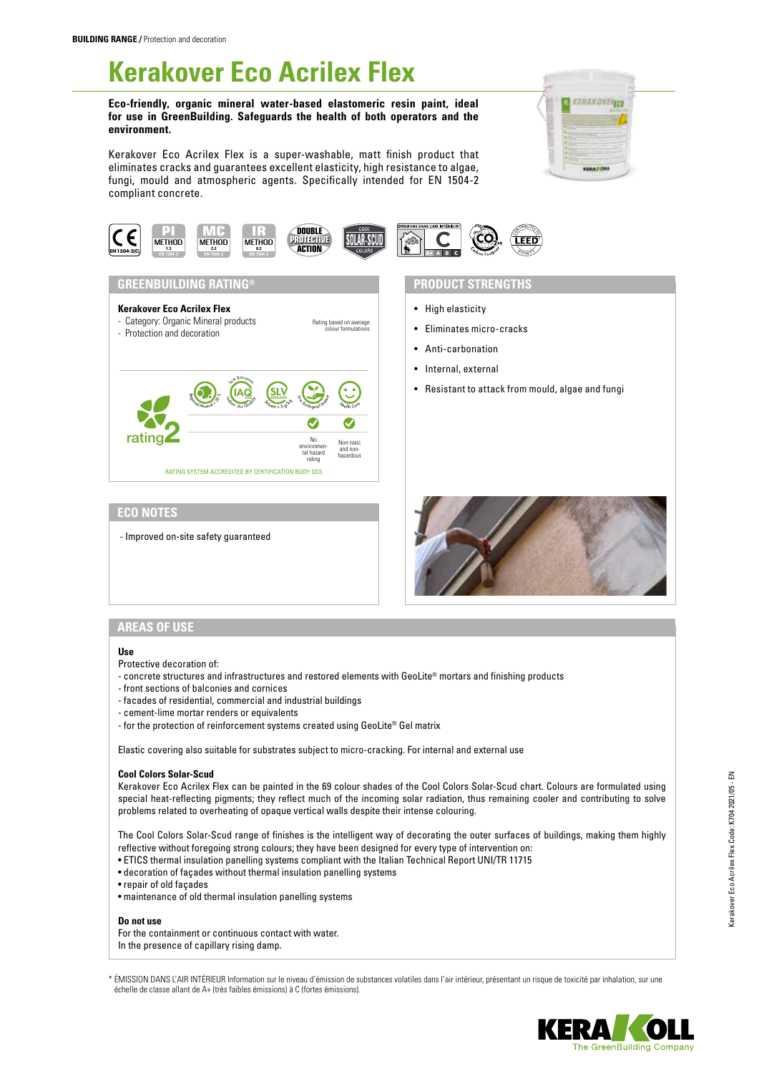# **Kerakover Eco Acrilex Flex**

**Eco-friendly, organic mineral water-based elastomeric resin paint, ideal for use in GreenBuilding. Safeguards the health of both operators and the environment.**

Kerakover Eco Acrilex Flex is a super-washable, matt finish product that eliminates cracks and guarantees excellent elasticity, high resistance to algae, fungi, mould and atmospheric agents. Specifically intended for EN 1504-2 compliant concrete.







- High elasticity
- Eliminates micro-cracks
- Anti-carbonation
- Internal, external
- Resistant to attack from mould, algae and fungi

# **ECO NOTES**

- Improved on-site safety guaranteed



#### **AREAS OF USE**

#### **Use**

- Protective decoration of:
- concrete structures and infrastructures and restored elements with GeoLite® mortars and finishing products
- front sections of balconies and cornices
- facades of residential, commercial and industrial buildings
- cement-lime mortar renders or equivalents
- for the protection of reinforcement systems created using GeoLite® Gel matrix

Elastic covering also suitable for substrates subject to micro-cracking. For internal and external use

#### **Cool Colors Solar-Scud**

Kerakover Eco Acrilex Flex can be painted in the 69 colour shades of the Cool Colors Solar-Scud chart. Colours are formulated using special heat-reflecting pigments; they reflect much of the incoming solar radiation, thus remaining cooler and contributing to solve problems related to overheating of opaque vertical walls despite their intense colouring.

The Cool Colors Solar-Scud range of finishes is the intelligent way of decorating the outer surfaces of buildings, making them highly reflective without foregoing strong colours; they have been designed for every type of intervention on:

- ETICS thermal insulation panelling systems compliant with the Italian Technical Report UNI/TR 11715
- decoration of façades without thermal insulation panelling systems
- repair of old façades
- maintenance of old thermal insulation panelling systems

### **Do not use**

For the containment or continuous contact with water. In the presence of capillary rising damp.

\* ÉMISSION DANS L'AIR INTÉRIEUR Information sur le niveau d'émission de substances volatiles dans l'air intérieur, présentant un risque de toxicité par inhalation, sur une échelle de classe allant de A+ (très faibles émissions) à C (fortes émissions).



Kerakover Eco Acrilex Flex Code: K704 2021/05 - EN

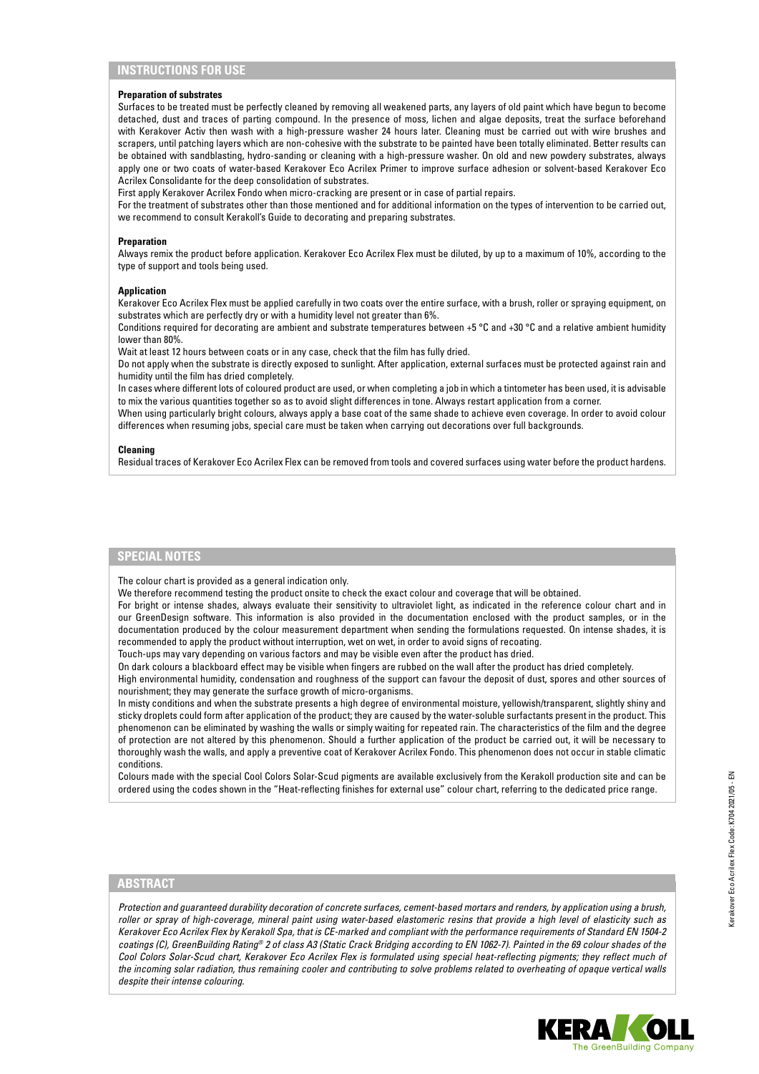# **INSTRUCTIONS FOR USE**

#### **Preparation of substrates**

Surfaces to be treated must be perfectly cleaned by removing all weakened parts, any layers of old paint which have begun to become detached, dust and traces of parting compound. In the presence of moss, lichen and algae deposits, treat the surface beforehand with Kerakover Activ then wash with a high-pressure washer 24 hours later. Cleaning must be carried out with wire brushes and scrapers, until patching layers which are non-cohesive with the substrate to be painted have been totally eliminated. Better results can be obtained with sandblasting, hydro-sanding or cleaning with a high-pressure washer. On old and new powdery substrates, always apply one or two coats of water-based Kerakover Eco Acrilex Primer to improve surface adhesion or solvent-based Kerakover Eco Acrilex Consolidante for the deep consolidation of substrates.

First apply Kerakover Acrilex Fondo when micro-cracking are present or in case of partial repairs.

For the treatment of substrates other than those mentioned and for additional information on the types of intervention to be carried out, we recommend to consult Kerakoll's Guide to decorating and preparing substrates.

#### **Preparation**

Always remix the product before application. Kerakover Eco Acrilex Flex must be diluted, by up to a maximum of 10%, according to the type of support and tools being used.

#### **Application**

Kerakover Eco Acrilex Flex must be applied carefully in two coats over the entire surface, with a brush, roller or spraying equipment, on substrates which are perfectly dry or with a humidity level not greater than 6%.

Conditions required for decorating are ambient and substrate temperatures between +5 °C and +30 °C and a relative ambient humidity lower than 80%.

Wait at least 12 hours between coats or in any case, check that the film has fully dried.

Do not apply when the substrate is directly exposed to sunlight. After application, external surfaces must be protected against rain and humidity until the film has dried completely.

In cases where different lots of coloured product are used, or when completing a job in which a tintometer has been used, it is advisable to mix the various quantities together so as to avoid slight differences in tone. Always restart application from a corner.

When using particularly bright colours, always apply a base coat of the same shade to achieve even coverage. In order to avoid colour differences when resuming jobs, special care must be taken when carrying out decorations over full backgrounds.

#### **Cleaning**

Residual traces of Kerakover Eco Acrilex Flex can be removed from tools and covered surfaces using water before the product hardens.

#### **SPECIAL NOTES**

The colour chart is provided as a general indication only.

We therefore recommend testing the product onsite to check the exact colour and coverage that will be obtained.

For bright or intense shades, always evaluate their sensitivity to ultraviolet light, as indicated in the reference colour chart and in our GreenDesign software. This information is also provided in the documentation enclosed with the product samples, or in the documentation produced by the colour measurement department when sending the formulations requested. On intense shades, it is recommended to apply the product without interruption, wet on wet, in order to avoid signs of recoating.

Touch-ups may vary depending on various factors and may be visible even after the product has dried.

On dark colours a blackboard effect may be visible when fingers are rubbed on the wall after the product has dried completely.

High environmental humidity, condensation and roughness of the support can favour the deposit of dust, spores and other sources of nourishment; they may generate the surface growth of micro-organisms.

In misty conditions and when the substrate presents a high degree of environmental moisture, yellowish/transparent, slightly shiny and sticky droplets could form after application of the product; they are caused by the water-soluble surfactants present in the product. This phenomenon can be eliminated by washing the walls or simply waiting for repeated rain. The characteristics of the film and the degree of protection are not altered by this phenomenon. Should a further application of the product be carried out, it will be necessary to thoroughly wash the walls, and apply a preventive coat of Kerakover Acrilex Fondo. This phenomenon does not occur in stable climatic conditions.

Colours made with the special Cool Colors Solar-Scud pigments are available exclusively from the Kerakoll production site and can be ordered using the codes shown in the "Heat-reflecting finishes for external use" colour chart, referring to the dedicated price range.

### **ABSTRACT**

*Protection and guaranteed durability decoration of concrete surfaces, cement-based mortars and renders, by application using a brush, roller or spray of high-coverage, mineral paint using water-based elastomeric resins that provide a high level of elasticity such as Kerakover Eco Acrilex Flex by Kerakoll Spa, that is CE-marked and compliant with the performance requirements of Standard EN 1504-2 coatings (C), GreenBuilding Rating® 2 of class A3 (Static Crack Bridging according to EN 1062-7). Painted in the 69 colour shades of the*  Cool Colors Solar-Scud chart, Kerakover Eco Acrilex Flex is formulated using special heat-reflecting pigments; they reflect much of *the incoming solar radiation, thus remaining cooler and contributing to solve problems related to overheating of opaque vertical walls despite their intense colouring.*